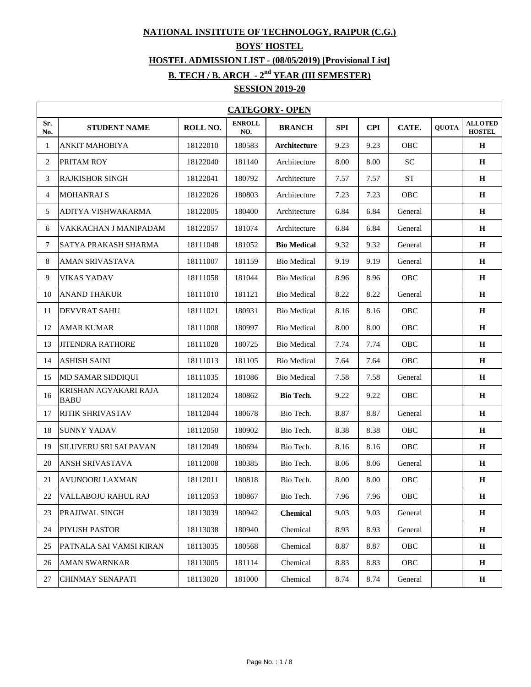#### **NATIONAL INSTITUTE OF TECHNOLOGY, RAIPUR (C.G.)**

#### **BOYS' HOSTEL**

### **HOSTEL ADMISSION LIST - (08/05/2019) [Provisional List]**

# **B. TECH / B. ARCH - 2nd YEAR (III SEMESTER)**

## **SESSION 2019-20**

|            | <b>CATEGORY- OPEN</b>                |          |                      |                    |            |            |            |              |                                 |  |
|------------|--------------------------------------|----------|----------------------|--------------------|------------|------------|------------|--------------|---------------------------------|--|
| Sr.<br>No. | <b>STUDENT NAME</b>                  | ROLL NO. | <b>ENROLL</b><br>NO. | <b>BRANCH</b>      | <b>SPI</b> | <b>CPI</b> | CATE.      | <b>OUOTA</b> | <b>ALLOTED</b><br><b>HOSTEL</b> |  |
| 1          | ANKIT MAHOBIYA                       | 18122010 | 180583               | Architecture       | 9.23       | 9.23       | <b>OBC</b> |              | $\mathbf H$                     |  |
| 2          | PRITAM ROY                           | 18122040 | 181140               | Architecture       | 8.00       | 8.00       | SC         |              | $\mathbf H$                     |  |
| 3          | <b>RAJKISHOR SINGH</b>               | 18122041 | 180792               | Architecture       | 7.57       | 7.57       | <b>ST</b>  |              | $\mathbf H$                     |  |
| 4          | <b>MOHANRAJ S</b>                    | 18122026 | 180803               | Architecture       | 7.23       | 7.23       | OBC        |              | $\mathbf H$                     |  |
| 5          | ADITYA VISHWAKARMA                   | 18122005 | 180400               | Architecture       | 6.84       | 6.84       | General    |              | H                               |  |
| 6          | VAKKACHAN J MANIPADAM                | 18122057 | 181074               | Architecture       | 6.84       | 6.84       | General    |              | $\mathbf H$                     |  |
| 7          | SATYA PRAKASH SHARMA                 | 18111048 | 181052               | <b>Bio Medical</b> | 9.32       | 9.32       | General    |              | $\mathbf H$                     |  |
| 8          | <b>AMAN SRIVASTAVA</b>               | 18111007 | 181159               | <b>Bio Medical</b> | 9.19       | 9.19       | General    |              | $\mathbf H$                     |  |
| 9          | <b>VIKAS YADAV</b>                   | 18111058 | 181044               | <b>Bio Medical</b> | 8.96       | 8.96       | OBC        |              | $\mathbf H$                     |  |
| 10         | <b>ANAND THAKUR</b>                  | 18111010 | 181121               | <b>Bio Medical</b> | 8.22       | 8.22       | General    |              | $\mathbf H$                     |  |
| 11         | <b>DEVVRAT SAHU</b>                  | 18111021 | 180931               | <b>Bio Medical</b> | 8.16       | 8.16       | OBC        |              | $\bf H$                         |  |
| 12         | <b>AMAR KUMAR</b>                    | 18111008 | 180997               | <b>Bio Medical</b> | 8.00       | 8.00       | OBC        |              | $\mathbf H$                     |  |
| 13         | <b>JITENDRA RATHORE</b>              | 18111028 | 180725               | <b>Bio Medical</b> | 7.74       | 7.74       | OBC        |              | $\mathbf H$                     |  |
| 14         | <b>ASHISH SAINI</b>                  | 18111013 | 181105               | <b>Bio Medical</b> | 7.64       | 7.64       | OBC        |              | $\mathbf H$                     |  |
| 15         | <b>MD SAMAR SIDDIQUI</b>             | 18111035 | 181086               | <b>Bio Medical</b> | 7.58       | 7.58       | General    |              | $\mathbf H$                     |  |
| 16         | KRISHAN AGYAKARI RAJA<br><b>BABU</b> | 18112024 | 180862               | Bio Tech.          | 9.22       | 9.22       | OBC        |              | $\mathbf H$                     |  |
| 17         | <b>RITIK SHRIVASTAV</b>              | 18112044 | 180678               | Bio Tech.          | 8.87       | 8.87       | General    |              | $\mathbf H$                     |  |
| 18         | <b>SUNNY YADAV</b>                   | 18112050 | 180902               | Bio Tech.          | 8.38       | 8.38       | OBC        |              | H                               |  |
| 19         | <b>SILUVERU SRI SAI PAVAN</b>        | 18112049 | 180694               | Bio Tech.          | 8.16       | 8.16       | OBC        |              | $\mathbf H$                     |  |
| 20         | <b>ANSH SRIVASTAVA</b>               | 18112008 | 180385               | Bio Tech.          | 8.06       | 8.06       | General    |              | $\mathbf H$                     |  |
| 21         | <b>AVUNOORI LAXMAN</b>               | 18112011 | 180818               | Bio Tech.          | 8.00       | 8.00       | OBC        |              | $\bf H$                         |  |
| 22         | VALLABOJU RAHUL RAJ                  | 18112053 | 180867               | Bio Tech.          | 7.96       | 7.96       | OBC        |              | $\mathbf H$                     |  |
| 23         | <b>PRAJJWAL SINGH</b>                | 18113039 | 180942               | <b>Chemical</b>    | 9.03       | 9.03       | General    |              | $\mathbf H$                     |  |
| 24         | <b>PIYUSH PASTOR</b>                 | 18113038 | 180940               | Chemical           | 8.93       | 8.93       | General    |              | $\mathbf H$                     |  |
| 25         | PATNALA SAI VAMSI KIRAN              | 18113035 | 180568               | Chemical           | 8.87       | 8.87       | <b>OBC</b> |              | $\mathbf H$                     |  |
| 26         | <b>AMAN SWARNKAR</b>                 | 18113005 | 181114               | Chemical           | 8.83       | 8.83       | <b>OBC</b> |              | $\mathbf H$                     |  |
| 27         | <b>CHINMAY SENAPATI</b>              | 18113020 | 181000               | Chemical           | 8.74       | 8.74       | General    |              | $\mathbf H$                     |  |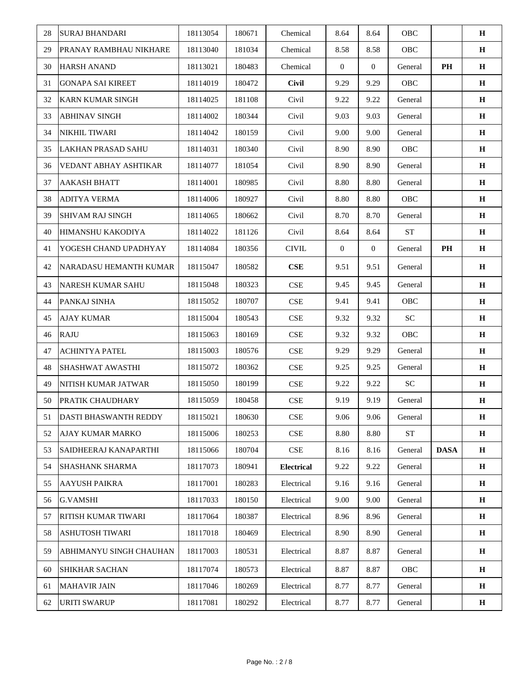| 28 | <b>SURAJ BHANDARI</b>     | 18113054 | 180671 | Chemical                    | 8.64           | 8.64           | OBC                |             | $\mathbf H$  |
|----|---------------------------|----------|--------|-----------------------------|----------------|----------------|--------------------|-------------|--------------|
| 29 | PRANAY RAMBHAU NIKHARE    | 18113040 | 181034 | Chemical                    | 8.58           | 8.58           | <b>OBC</b>         |             | $\mathbf H$  |
| 30 | <b>HARSH ANAND</b>        | 18113021 | 180483 | Chemical                    | $\overline{0}$ | $\overline{0}$ | General            | PH          | $\mathbf H$  |
| 31 | <b>GONAPA SAI KIREET</b>  | 18114019 | 180472 | <b>Civil</b>                | 9.29           | 9.29           | OBC                |             | $\mathbf H$  |
| 32 | <b>KARN KUMAR SINGH</b>   | 18114025 | 181108 | Civil                       | 9.22           | 9.22           | General            |             | $\mathbf H$  |
| 33 | <b>ABHINAV SINGH</b>      | 18114002 | 180344 | Civil                       | 9.03           | 9.03           | General            |             | $\mathbf H$  |
| 34 | NIKHIL TIWARI             | 18114042 | 180159 | Civil                       | 9.00           | 9.00           | General            |             | $\mathbf H$  |
| 35 | <b>LAKHAN PRASAD SAHU</b> | 18114031 | 180340 | Civil                       | 8.90           | 8.90           | OBC                |             | $\mathbf H$  |
| 36 | VEDANT ABHAY ASHTIKAR     | 18114077 | 181054 | Civil                       | 8.90           | 8.90           | General            |             | $\mathbf H$  |
| 37 | <b>AAKASH BHATT</b>       | 18114001 | 180985 | Civil                       | 8.80           | 8.80           | General            |             | $\mathbf H$  |
| 38 | ADITYA VERMA              | 18114006 | 180927 | Civil                       | 8.80           | 8.80           | OBC                |             | $\mathbf H$  |
| 39 | SHIVAM RAJ SINGH          | 18114065 | 180662 | Civil                       | 8.70           | 8.70           | General            |             | $\mathbf H$  |
| 40 | HIMANSHU KAKODIYA         | 18114022 | 181126 | Civil                       | 8.64           | 8.64           | ${\cal S}{\cal T}$ |             | $\mathbf H$  |
| 41 | YOGESH CHAND UPADHYAY     | 18114084 | 180356 | <b>CIVIL</b>                | $\mathbf{0}$   | $\overline{0}$ | General            | PH          | $\mathbf H$  |
| 42 | NARADASU HEMANTH KUMAR    | 18115047 | 180582 | CSE                         | 9.51           | 9.51           | General            |             | $\, {\bf H}$ |
| 43 | NARESH KUMAR SAHU         | 18115048 | 180323 | $\ensuremath{\mathsf{CSE}}$ | 9.45           | 9.45           | General            |             | $\mathbf H$  |
| 44 | PANKAJ SINHA              | 18115052 | 180707 | <b>CSE</b>                  | 9.41           | 9.41           | OBC                |             | $\mathbf H$  |
| 45 | <b>AJAY KUMAR</b>         | 18115004 | 180543 | $\ensuremath{\mathsf{CSE}}$ | 9.32           | 9.32           | <b>SC</b>          |             | $\mathbf H$  |
| 46 | <b>RAJU</b>               | 18115063 | 180169 | <b>CSE</b>                  | 9.32           | 9.32           | OBC                |             | $\mathbf H$  |
| 47 | <b>ACHINTYA PATEL</b>     | 18115003 | 180576 | <b>CSE</b>                  | 9.29           | 9.29           | General            |             | $\mathbf H$  |
| 48 | SHASHWAT AWASTHI          | 18115072 | 180362 | CSE                         | 9.25           | 9.25           | General            |             | $\mathbf H$  |
| 49 | NITISH KUMAR JATWAR       | 18115050 | 180199 | <b>CSE</b>                  | 9.22           | 9.22           | <b>SC</b>          |             | $\mathbf H$  |
| 50 | PRATIK CHAUDHARY          | 18115059 | 180458 | CSE                         | 9.19           | 9.19           | General            |             | $\mathbf H$  |
| 51 | DASTI BHASWANTH REDDY     | 18115021 | 180630 | <b>CSE</b>                  | 9.06           | 9.06           | General            |             | $\mathbf H$  |
| 52 | <b>AJAY KUMAR MARKO</b>   | 18115006 | 180253 | <b>CSE</b>                  | 8.80           | 8.80           | ${\cal S}{\cal T}$ |             | $\mathbf H$  |
| 53 | SAIDHEERAJ KANAPARTHI     | 18115066 | 180704 | CSE                         | 8.16           | 8.16           | General            | <b>DASA</b> | $\mathbf H$  |
| 54 | SHASHANK SHARMA           | 18117073 | 180941 | <b>Electrical</b>           | 9.22           | 9.22           | General            |             | $\mathbf H$  |
| 55 | AAYUSH PAIKRA             | 18117001 | 180283 | Electrical                  | 9.16           | 9.16           | General            |             | $\mathbf H$  |
| 56 | <b>G.VAMSHI</b>           | 18117033 | 180150 | Electrical                  | 9.00           | 9.00           | General            |             | H            |
| 57 | RITISH KUMAR TIWARI       | 18117064 | 180387 | Electrical                  | 8.96           | 8.96           | General            |             | $\mathbf H$  |
| 58 | ASHUTOSH TIWARI           | 18117018 | 180469 | Electrical                  | 8.90           | 8.90           | General            |             | $\mathbf H$  |
| 59 | ABHIMANYU SINGH CHAUHAN   | 18117003 | 180531 | Electrical                  | 8.87           | 8.87           | General            |             | $\mathbf H$  |
| 60 | SHIKHAR SACHAN            | 18117074 | 180573 | Electrical                  | 8.87           | 8.87           | OBC                |             | H            |
| 61 | <b>MAHAVIR JAIN</b>       | 18117046 | 180269 | Electrical                  | 8.77           | 8.77           | General            |             | $\mathbf H$  |
| 62 | <b>URITI SWARUP</b>       | 18117081 | 180292 | Electrical                  | 8.77           | 8.77           | General            |             | $\mathbf H$  |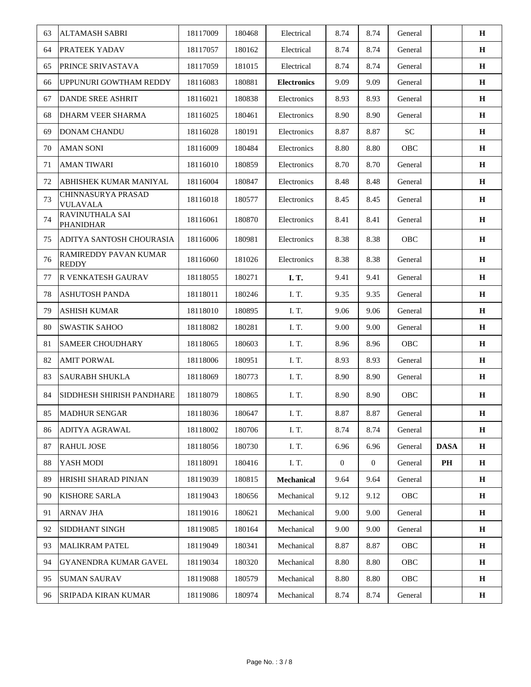| 63 | <b>ALTAMASH SABRI</b>                        | 18117009 | 180468 | Electrical         | 8.74             | 8.74         | General    |             | $\mathbf H$ |
|----|----------------------------------------------|----------|--------|--------------------|------------------|--------------|------------|-------------|-------------|
| 64 | <b>PRATEEK YADAV</b>                         | 18117057 | 180162 | Electrical         | 8.74             | 8.74         | General    |             | $\mathbf H$ |
| 65 | <b>PRINCE SRIVASTAVA</b>                     | 18117059 | 181015 | Electrical         | 8.74             | 8.74         | General    |             | $\mathbf H$ |
| 66 | UPPUNURI GOWTHAM REDDY                       | 18116083 | 180881 | <b>Electronics</b> | 9.09             | 9.09         | General    |             | $\mathbf H$ |
| 67 | DANDE SREE ASHRIT                            | 18116021 | 180838 | Electronics        | 8.93             | 8.93         | General    |             | $\mathbf H$ |
| 68 | DHARM VEER SHARMA                            | 18116025 | 180461 | Electronics        | 8.90             | 8.90         | General    |             | $\mathbf H$ |
| 69 | <b>DONAM CHANDU</b>                          | 18116028 | 180191 | Electronics        | 8.87             | 8.87         | SC         |             | $\mathbf H$ |
| 70 | <b>AMAN SONI</b>                             | 18116009 | 180484 | Electronics        | 8.80             | 8.80         | OBC        |             | $\mathbf H$ |
| 71 | <b>AMAN TIWARI</b>                           | 18116010 | 180859 | Electronics        | 8.70             | 8.70         | General    |             | $\mathbf H$ |
| 72 | ABHISHEK KUMAR MANIYAL                       | 18116004 | 180847 | Electronics        | 8.48             | 8.48         | General    |             | $\mathbf H$ |
| 73 | CHINNASURYA PRASAD<br><b>VULAVALA</b>        | 18116018 | 180577 | Electronics        | 8.45             | 8.45         | General    |             | $\mathbf H$ |
| 74 | <b>RAVINUTHALA SAI</b><br><b>PHANIDHAR</b>   | 18116061 | 180870 | Electronics        | 8.41             | 8.41         | General    |             | $\mathbf H$ |
| 75 | <b>ADITYA SANTOSH CHOURASIA</b>              | 18116006 | 180981 | Electronics        | 8.38             | 8.38         | OBC        |             | $\mathbf H$ |
| 76 | <b>RAMIREDDY PAVAN KUMAR</b><br><b>REDDY</b> | 18116060 | 181026 | Electronics        | 8.38             | 8.38         | General    |             | $\mathbf H$ |
| 77 | <b>R VENKATESH GAURAV</b>                    | 18118055 | 180271 | I. T.              | 9.41             | 9.41         | General    |             | $\mathbf H$ |
| 78 | <b>ASHUTOSH PANDA</b>                        | 18118011 | 180246 | I. T.              | 9.35             | 9.35         | General    |             | $\mathbf H$ |
| 79 | <b>ASHISH KUMAR</b>                          | 18118010 | 180895 | I. T.              | 9.06             | 9.06         | General    |             | $\mathbf H$ |
| 80 | <b>SWASTIK SAHOO</b>                         | 18118082 | 180281 | I. T.              | 9.00             | 9.00         | General    |             | $\mathbf H$ |
| 81 | <b>SAMEER CHOUDHARY</b>                      | 18118065 | 180603 | I. T.              | 8.96             | 8.96         | OBC        |             | $\mathbf H$ |
| 82 | <b>AMIT PORWAL</b>                           | 18118006 | 180951 | I. T.              | 8.93             | 8.93         | General    |             | $\mathbf H$ |
| 83 | <b>SAURABH SHUKLA</b>                        | 18118069 | 180773 | I. T.              | 8.90             | 8.90         | General    |             | $\mathbf H$ |
| 84 | SIDDHESH SHIRISH PANDHARE                    | 18118079 | 180865 | I. T.              | 8.90             | 8.90         | OBC        |             | $\mathbf H$ |
| 85 | <b>MADHUR SENGAR</b>                         | 18118036 | 180647 | I. T.              | 8.87             | 8.87         | General    |             | H           |
| 86 | <b>ADITYA AGRAWAL</b>                        | 18118002 | 180706 | I. T.              | 8.74             | 8.74         | General    |             | H           |
| 87 | <b>RAHUL JOSE</b>                            | 18118056 | 180730 | I. T.              | 6.96             | 6.96         | General    | <b>DASA</b> | $\mathbf H$ |
| 88 | YASH MODI                                    | 18118091 | 180416 | I. T.              | $\boldsymbol{0}$ | $\mathbf{0}$ | General    | PH          | $\mathbf H$ |
| 89 | HRISHI SHARAD PINJAN                         | 18119039 | 180815 | Mechanical         | 9.64             | 9.64         | General    |             | $\mathbf H$ |
| 90 | <b>KISHORE SARLA</b>                         | 18119043 | 180656 | Mechanical         | 9.12             | 9.12         | OBC        |             | $\mathbf H$ |
| 91 | <b>ARNAV JHA</b>                             | 18119016 | 180621 | Mechanical         | 9.00             | 9.00         | General    |             | $\mathbf H$ |
| 92 | <b>SIDDHANT SINGH</b>                        | 18119085 | 180164 | Mechanical         | 9.00             | 9.00         | General    |             | $\mathbf H$ |
| 93 | <b>MALIKRAM PATEL</b>                        | 18119049 | 180341 | Mechanical         | 8.87             | 8.87         | OBC        |             | $\mathbf H$ |
| 94 | <b>GYANENDRA KUMAR GAVEL</b>                 | 18119034 | 180320 | Mechanical         | 8.80             | 8.80         | <b>OBC</b> |             | $\mathbf H$ |
| 95 | <b>SUMAN SAURAV</b>                          | 18119088 | 180579 | Mechanical         | 8.80             | 8.80         | OBC        |             | $\mathbf H$ |
| 96 | <b>SRIPADA KIRAN KUMAR</b>                   | 18119086 | 180974 | Mechanical         | 8.74             | 8.74         | General    |             | $\mathbf H$ |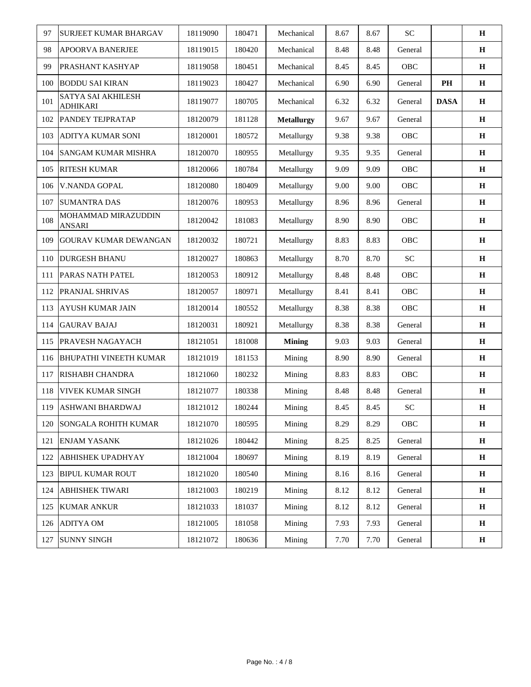| 97  | <b>SURJEET KUMAR BHARGAV</b>                 | 18119090 | 180471 | Mechanical        | 8.67 | 8.67 | ${\rm SC}$ |               | $\mathbf H$ |
|-----|----------------------------------------------|----------|--------|-------------------|------|------|------------|---------------|-------------|
| 98  | <b>APOORVA BANERJEE</b>                      | 18119015 | 180420 | Mechanical        | 8.48 | 8.48 | General    |               | $\mathbf H$ |
| 99  | <b>PRASHANT KASHYAP</b>                      | 18119058 | 180451 | Mechanical        | 8.45 | 8.45 | OBC        |               | $\mathbf H$ |
| 100 | <b>BODDU SAI KIRAN</b>                       | 18119023 | 180427 | Mechanical        | 6.90 | 6.90 | General    | $\mathbf{PH}$ | $\mathbf H$ |
| 101 | <b>SATYA SAI AKHILESH</b><br><b>ADHIKARI</b> | 18119077 | 180705 | Mechanical        | 6.32 | 6.32 | General    | <b>DASA</b>   | $\mathbf H$ |
| 102 | PANDEY TEJPRATAP                             | 18120079 | 181128 | <b>Metallurgy</b> | 9.67 | 9.67 | General    |               | $\mathbf H$ |
| 103 | <b>ADITYA KUMAR SONI</b>                     | 18120001 | 180572 | Metallurgy        | 9.38 | 9.38 | OBC        |               | $\mathbf H$ |
| 104 | <b>SANGAM KUMAR MISHRA</b>                   | 18120070 | 180955 | Metallurgy        | 9.35 | 9.35 | General    |               | $\mathbf H$ |
| 105 | <b>RITESH KUMAR</b>                          | 18120066 | 180784 | Metallurgy        | 9.09 | 9.09 | OBC        |               | $\mathbf H$ |
| 106 | V.NANDA GOPAL                                | 18120080 | 180409 | Metallurgy        | 9.00 | 9.00 | OBC        |               | $\mathbf H$ |
| 107 | <b>SUMANTRA DAS</b>                          | 18120076 | 180953 | Metallurgy        | 8.96 | 8.96 | General    |               | $\mathbf H$ |
| 108 | MOHAMMAD MIRAZUDDIN<br><b>ANSARI</b>         | 18120042 | 181083 | Metallurgy        | 8.90 | 8.90 | OBC        |               | $\mathbf H$ |
| 109 | <b>GOURAV KUMAR DEWANGAN</b>                 | 18120032 | 180721 | Metallurgy        | 8.83 | 8.83 | OBC        |               | $\mathbf H$ |
| 110 | <b>DURGESH BHANU</b>                         | 18120027 | 180863 | Metallurgy        | 8.70 | 8.70 | ${\rm SC}$ |               | $\mathbf H$ |
| 111 | <b>PARAS NATH PATEL</b>                      | 18120053 | 180912 | Metallurgy        | 8.48 | 8.48 | OBC        |               | $\mathbf H$ |
| 112 | PRANJAL SHRIVAS                              | 18120057 | 180971 | Metallurgy        | 8.41 | 8.41 | OBC        |               | $\mathbf H$ |
| 113 | <b>AYUSH KUMAR JAIN</b>                      | 18120014 | 180552 | Metallurgy        | 8.38 | 8.38 | OBC        |               | $\mathbf H$ |
| 114 | <b>GAURAV BAJAJ</b>                          | 18120031 | 180921 | Metallurgy        | 8.38 | 8.38 | General    |               | $\bf H$     |
| 115 | <b>PRAVESH NAGAYACH</b>                      | 18121051 | 181008 | <b>Mining</b>     | 9.03 | 9.03 | General    |               | $\mathbf H$ |
| 116 | <b>BHUPATHI VINEETH KUMAR</b>                | 18121019 | 181153 | Mining            | 8.90 | 8.90 | General    |               | $\mathbf H$ |
| 117 | <b>RISHABH CHANDRA</b>                       | 18121060 | 180232 | Mining            | 8.83 | 8.83 | OBC        |               | $\mathbf H$ |
| 118 | <b>VIVEK KUMAR SINGH</b>                     | 18121077 | 180338 | Mining            | 8.48 | 8.48 | General    |               | $\mathbf H$ |
| 119 | <b>ASHWANI BHARDWAJ</b>                      | 18121012 | 180244 | Mining            | 8.45 | 8.45 | ${\rm SC}$ |               | $\mathbf H$ |
|     | 120 SONGALA ROHITH KUMAR                     | 18121070 | 180595 | Mining            | 8.29 | 8.29 | OBC        |               | $\mathbf H$ |
| 121 | <b>ENJAM YASANK</b>                          | 18121026 | 180442 | Mining            | 8.25 | 8.25 | General    |               | $\mathbf H$ |
| 122 | <b>ABHISHEK UPADHYAY</b>                     | 18121004 | 180697 | Mining            | 8.19 | 8.19 | General    |               | $\mathbf H$ |
| 123 | <b>BIPUL KUMAR ROUT</b>                      | 18121020 | 180540 | Mining            | 8.16 | 8.16 | General    |               | $\mathbf H$ |
| 124 | <b>ABHISHEK TIWARI</b>                       | 18121003 | 180219 | Mining            | 8.12 | 8.12 | General    |               | $\mathbf H$ |
| 125 | <b>KUMAR ANKUR</b>                           | 18121033 | 181037 | Mining            | 8.12 | 8.12 | General    |               | $\mathbf H$ |
|     | 126 ADITYA OM                                | 18121005 | 181058 | Mining            | 7.93 | 7.93 | General    |               | $\mathbf H$ |
| 127 | <b>SUNNY SINGH</b>                           | 18121072 | 180636 | Mining            | 7.70 | 7.70 | General    |               | $\mathbf H$ |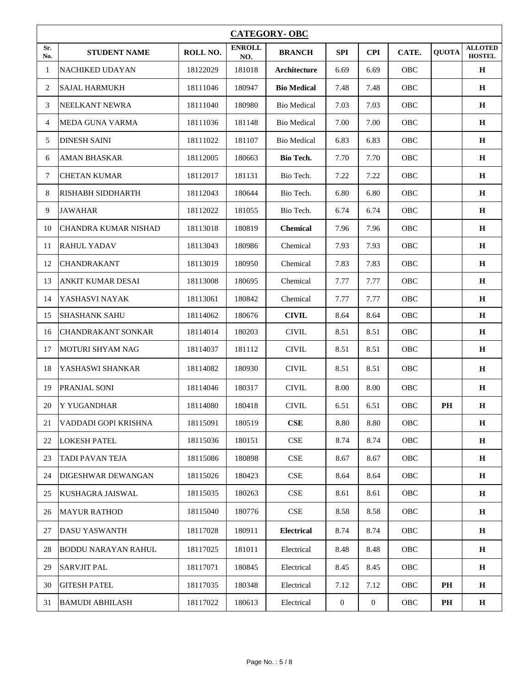|            | <b>CATEGORY- OBC</b>       |          |                      |                             |                  |                |       |              |                                 |  |
|------------|----------------------------|----------|----------------------|-----------------------------|------------------|----------------|-------|--------------|---------------------------------|--|
| Sr.<br>No. | <b>STUDENT NAME</b>        | ROLL NO. | <b>ENROLL</b><br>NO. | <b>BRANCH</b>               | <b>SPI</b>       | <b>CPI</b>     | CATE. | <b>QUOTA</b> | <b>ALLOTED</b><br><b>HOSTEL</b> |  |
| 1          | NACHIKED UDAYAN            | 18122029 | 181018               | Architecture                | 6.69             | 6.69           | OBC   |              | $\mathbf H$                     |  |
| 2          | <b>SAJAL HARMUKH</b>       | 18111046 | 180947               | <b>Bio Medical</b>          | 7.48             | 7.48           | OBC   |              | $\mathbf H$                     |  |
| 3          | NEELKANT NEWRA             | 18111040 | 180980               | <b>Bio Medical</b>          | 7.03             | 7.03           | OBC   |              | $\mathbf H$                     |  |
| 4          | <b>MEDA GUNA VARMA</b>     | 18111036 | 181148               | <b>Bio Medical</b>          | 7.00             | 7.00           | OBC   |              | H                               |  |
| 5          | <b>DINESH SAINI</b>        | 18111022 | 181107               | <b>Bio Medical</b>          | 6.83             | 6.83           | OBC   |              | $\mathbf H$                     |  |
| 6          | <b>AMAN BHASKAR</b>        | 18112005 | 180663               | Bio Tech.                   | 7.70             | 7.70           | OBC   |              | $\mathbf H$                     |  |
| 7          | <b>CHETAN KUMAR</b>        | 18112017 | 181131               | Bio Tech.                   | 7.22             | 7.22           | OBC   |              | $\mathbf H$                     |  |
| 8          | RISHABH SIDDHARTH          | 18112043 | 180644               | Bio Tech.                   | 6.80             | 6.80           | OBC   |              | $\mathbf H$                     |  |
| 9          | <b>JAWAHAR</b>             | 18112022 | 181055               | Bio Tech.                   | 6.74             | 6.74           | OBC   |              | $\bf H$                         |  |
| 10         | CHANDRA KUMAR NISHAD       | 18113018 | 180819               | <b>Chemical</b>             | 7.96             | 7.96           | OBC   |              | $\mathbf H$                     |  |
| 11         | <b>RAHUL YADAV</b>         | 18113043 | 180986               | Chemical                    | 7.93             | 7.93           | OBC   |              | $\mathbf H$                     |  |
| 12         | <b>CHANDRAKANT</b>         | 18113019 | 180950               | Chemical                    | 7.83             | 7.83           | OBC   |              | $\mathbf H$                     |  |
| 13         | ANKIT KUMAR DESAI          | 18113008 | 180695               | Chemical                    | 7.77             | 7.77           | OBC   |              | $\mathbf H$                     |  |
| 14         | YASHASVI NAYAK             | 18113061 | 180842               | Chemical                    | 7.77             | 7.77           | OBC   |              | $\bf H$                         |  |
| 15         | <b>SHASHANK SAHU</b>       | 18114062 | 180676               | <b>CIVIL</b>                | 8.64             | 8.64           | OBC   |              | $\mathbf H$                     |  |
| 16         | <b>CHANDRAKANT SONKAR</b>  | 18114014 | 180203               | <b>CIVIL</b>                | 8.51             | 8.51           | OBC   |              | H                               |  |
| 17         | MOTURI SHYAM NAG           | 18114037 | 181112               | <b>CIVIL</b>                | 8.51             | 8.51           | OBC   |              | $\mathbf H$                     |  |
| 18         | YASHASWI SHANKAR           | 18114082 | 180930               | <b>CIVIL</b>                | 8.51             | 8.51           | OBC   |              | $\mathbf H$                     |  |
| 19         | PRANJAL SONI               | 18114046 | 180317               | <b>CIVIL</b>                | 8.00             | 8.00           | OBC   |              | $\mathbf H$                     |  |
| 20         | Y YUGANDHAR                | 18114080 | 180418               | <b>CIVIL</b>                | 6.51             | 6.51           | OBC   | PH           | $\bf H$                         |  |
| 21         | VADDADI GOPI KRISHNA       | 18115091 | 180519               | CSE                         | 8.80             | 8.80           | OBC   |              | $\mathbf H$                     |  |
| 22         | <b>LOKESH PATEL</b>        | 18115036 | 180151               | <b>CSE</b>                  | 8.74             | 8.74           | OBC   |              | $\bf H$                         |  |
| 23         | <b>TADI PAVAN TEJA</b>     | 18115086 | 180898               | <b>CSE</b>                  | 8.67             | 8.67           | OBC   |              | $\mathbf H$                     |  |
| 24         | DIGESHWAR DEWANGAN         | 18115026 | 180423               | $\ensuremath{\mathsf{CSE}}$ | 8.64             | 8.64           | OBC   |              | $\mathbf H$                     |  |
| 25         | <b>KUSHAGRA JAISWAL</b>    | 18115035 | 180263               | <b>CSE</b>                  | 8.61             | 8.61           | OBC   |              | $\mathbf H$                     |  |
| 26         | <b>MAYUR RATHOD</b>        | 18115040 | 180776               | CSE                         | 8.58             | 8.58           | OBC   |              | $\mathbf H$                     |  |
| 27         | <b>DASU YASWANTH</b>       | 18117028 | 180911               | <b>Electrical</b>           | 8.74             | 8.74           | OBC   |              | $\mathbf H$                     |  |
| 28         | <b>BODDU NARAYAN RAHUL</b> | 18117025 | 181011               | Electrical                  | 8.48             | 8.48           | OBC   |              | $\mathbf H$                     |  |
| 29         | <b>SARVJIT PAL</b>         | 18117071 | 180845               | Electrical                  | 8.45             | 8.45           | OBC   |              | $\mathbf H$                     |  |
| 30         | <b>GITESH PATEL</b>        | 18117035 | 180348               | Electrical                  | 7.12             | 7.12           | OBC   | PH           | $\mathbf H$                     |  |
| 31         | <b>BAMUDI ABHILASH</b>     | 18117022 | 180613               | Electrical                  | $\boldsymbol{0}$ | $\overline{0}$ | OBC   | PH           | $\mathbf H$                     |  |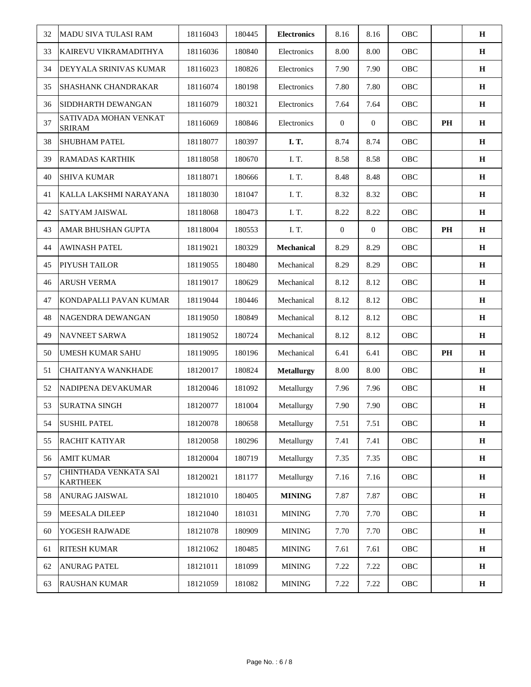| 32 | MADU SIVA TULASI RAM                     | 18116043 | 180445 | <b>Electronics</b> | 8.16             | 8.16           | OBC         |    | $\mathbf H$ |
|----|------------------------------------------|----------|--------|--------------------|------------------|----------------|-------------|----|-------------|
| 33 | KAIREVU VIKRAMADITHYA                    | 18116036 | 180840 | Electronics        | 8.00             | 8.00           | OBC         |    | $\mathbf H$ |
| 34 | DEYYALA SRINIVAS KUMAR                   | 18116023 | 180826 | Electronics        | 7.90             | 7.90           | OBC         |    | $\mathbf H$ |
| 35 | <b>SHASHANK CHANDRAKAR</b>               | 18116074 | 180198 | Electronics        | 7.80             | 7.80           | OBC         |    | $\mathbf H$ |
| 36 | SIDDHARTH DEWANGAN                       | 18116079 | 180321 | Electronics        | 7.64             | 7.64           | OBC         |    | $\mathbf H$ |
| 37 | SATIVADA MOHAN VENKAT<br><b>SRIRAM</b>   | 18116069 | 180846 | Electronics        | $\boldsymbol{0}$ | $\overline{0}$ | OBC         | PH | $\mathbf H$ |
| 38 | <b>SHUBHAM PATEL</b>                     | 18118077 | 180397 | I. T.              | 8.74             | 8.74           | OBC         |    | $\mathbf H$ |
| 39 | RAMADAS KARTHIK                          | 18118058 | 180670 | I. T.              | 8.58             | 8.58           | OBC         |    | $\mathbf H$ |
| 40 | <b>SHIVA KUMAR</b>                       | 18118071 | 180666 | I. T.              | 8.48             | 8.48           | OBC         |    | $\mathbf H$ |
| 41 | KALLA LAKSHMI NARAYANA                   | 18118030 | 181047 | I. T.              | 8.32             | 8.32           | OBC         |    | $\mathbf H$ |
| 42 | <b>SATYAM JAISWAL</b>                    | 18118068 | 180473 | I. T.              | 8.22             | 8.22           | OBC         |    | $\mathbf H$ |
| 43 | AMAR BHUSHAN GUPTA                       | 18118004 | 180553 | I. T.              | $\overline{0}$   | $\mathbf{0}$   | OBC         | PH | $\mathbf H$ |
| 44 | <b>AWINASH PATEL</b>                     | 18119021 | 180329 | Mechanical         | 8.29             | 8.29           | OBC         |    | $\mathbf H$ |
| 45 | PIYUSH TAILOR                            | 18119055 | 180480 | Mechanical         | 8.29             | 8.29           | OBC         |    | $\mathbf H$ |
| 46 | ARUSH VERMA                              | 18119017 | 180629 | Mechanical         | 8.12             | 8.12           | ${\rm OBC}$ |    | $\mathbf H$ |
| 47 | KONDAPALLI PAVAN KUMAR                   | 18119044 | 180446 | Mechanical         | 8.12             | 8.12           | OBC         |    | $\mathbf H$ |
| 48 | NAGENDRA DEWANGAN                        | 18119050 | 180849 | Mechanical         | 8.12             | 8.12           | OBC         |    | $\mathbf H$ |
| 49 | NAVNEET SARWA                            | 18119052 | 180724 | Mechanical         | 8.12             | 8.12           | OBC         |    | $\mathbf H$ |
| 50 | UMESH KUMAR SAHU                         | 18119095 | 180196 | Mechanical         | 6.41             | 6.41           | OBC         | PH | $\mathbf H$ |
| 51 | <b>CHAITANYA WANKHADE</b>                | 18120017 | 180824 | <b>Metallurgy</b>  | 8.00             | 8.00           | OBC         |    | $\bf H$     |
| 52 | NADIPENA DEVAKUMAR                       | 18120046 | 181092 | Metallurgy         | 7.96             | 7.96           | <b>OBC</b>  |    | $\mathbf H$ |
| 53 | <b>SURATNA SINGH</b>                     | 18120077 | 181004 | Metallurgy         | 7.90             | 7.90           | OBC         |    | $\mathbf H$ |
| 54 | <b>SUSHIL PATEL</b>                      | 18120078 | 180658 | Metallurgy         | 7.51             | 7.51           | ${\rm OBC}$ |    | $\mathbf H$ |
| 55 | RACHIT KATIYAR                           | 18120058 | 180296 | Metallurgy         | 7.41             | 7.41           | OBC         |    | $\bf H$     |
| 56 | <b>AMIT KUMAR</b>                        | 18120004 | 180719 | Metallurgy         | 7.35             | 7.35           | OBC         |    | $\mathbf H$ |
| 57 | CHINTHADA VENKATA SAI<br><b>KARTHEEK</b> | 18120021 | 181177 | Metallurgy         | 7.16             | 7.16           | OBC         |    | $\mathbf H$ |
| 58 | ANURAG JAISWAL                           | 18121010 | 180405 | <b>MINING</b>      | 7.87             | 7.87           | OBC         |    | $\mathbf H$ |
| 59 | <b>MEESALA DILEEP</b>                    | 18121040 | 181031 | <b>MINING</b>      | 7.70             | 7.70           | <b>OBC</b>  |    | $\bf H$     |
| 60 | YOGESH RAJWADE                           | 18121078 | 180909 | <b>MINING</b>      | 7.70             | 7.70           | OBC         |    | $\mathbf H$ |
| 61 | <b>RITESH KUMAR</b>                      | 18121062 | 180485 | <b>MINING</b>      | 7.61             | 7.61           | OBC         |    | $\mathbf H$ |
| 62 | <b>ANURAG PATEL</b>                      | 18121011 | 181099 | <b>MINING</b>      | 7.22             | 7.22           | OBC         |    | $\mathbf H$ |
| 63 | <b>RAUSHAN KUMAR</b>                     | 18121059 | 181082 | <b>MINING</b>      | 7.22             | 7.22           | OBC         |    | $\mathbf H$ |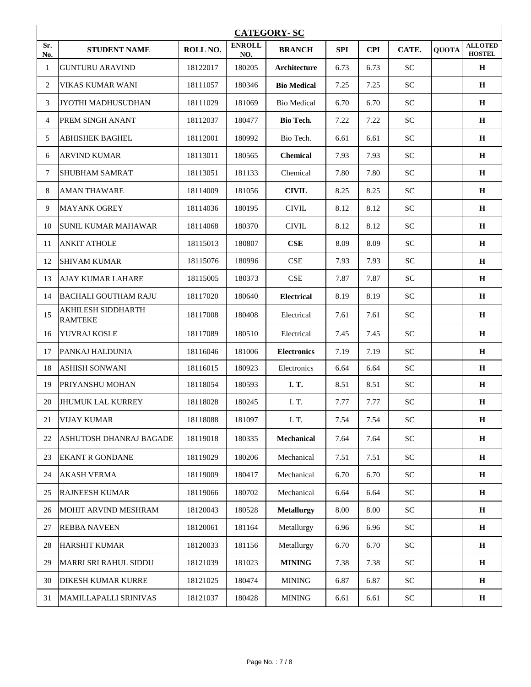| <b>CATEGORY-SC</b> |                                      |          |                      |                    |            |            |            |              |                                 |  |
|--------------------|--------------------------------------|----------|----------------------|--------------------|------------|------------|------------|--------------|---------------------------------|--|
| Sr.<br>No.         | <b>STUDENT NAME</b>                  | ROLL NO. | <b>ENROLL</b><br>NO. | <b>BRANCH</b>      | <b>SPI</b> | <b>CPI</b> | CATE.      | <b>QUOTA</b> | <b>ALLOTED</b><br><b>HOSTEL</b> |  |
| 1                  | <b>GUNTURU ARAVIND</b>               | 18122017 | 180205               | Architecture       | 6.73       | 6.73       | <b>SC</b>  |              | H                               |  |
| 2                  | <b>VIKAS KUMAR WANI</b>              | 18111057 | 180346               | <b>Bio Medical</b> | 7.25       | 7.25       | <b>SC</b>  |              | H                               |  |
| 3                  | JYOTHI MADHUSUDHAN                   | 18111029 | 181069               | <b>Bio Medical</b> | 6.70       | 6.70       | <b>SC</b>  |              | H                               |  |
| 4                  | PREM SINGH ANANT                     | 18112037 | 180477               | Bio Tech.          | 7.22       | 7.22       | <b>SC</b>  |              | H                               |  |
| 5                  | ABHISHEK BAGHEL                      | 18112001 | 180992               | Bio Tech.          | 6.61       | 6.61       | <b>SC</b>  |              | H                               |  |
| 6                  | <b>ARVIND KUMAR</b>                  | 18113011 | 180565               | <b>Chemical</b>    | 7.93       | 7.93       | <b>SC</b>  |              | H                               |  |
| 7                  | <b>SHUBHAM SAMRAT</b>                | 18113051 | 181133               | Chemical           | 7.80       | 7.80       | ${\rm SC}$ |              | H                               |  |
| 8                  | <b>AMAN THAWARE</b>                  | 18114009 | 181056               | <b>CIVIL</b>       | 8.25       | 8.25       | <b>SC</b>  |              | H                               |  |
| 9                  | <b>MAYANK OGREY</b>                  | 18114036 | 180195               | <b>CIVIL</b>       | 8.12       | 8.12       | <b>SC</b>  |              | H                               |  |
| 10                 | <b>SUNIL KUMAR MAHAWAR</b>           | 18114068 | 180370               | <b>CIVIL</b>       | 8.12       | 8.12       | <b>SC</b>  |              | $\mathbf H$                     |  |
| 11                 | <b>ANKIT ATHOLE</b>                  | 18115013 | 180807               | CSE                | 8.09       | 8.09       | <b>SC</b>  |              | H                               |  |
| 12                 | <b>SHIVAM KUMAR</b>                  | 18115076 | 180996               | CSE                | 7.93       | 7.93       | <b>SC</b>  |              | $\bf H$                         |  |
| 13                 | AJAY KUMAR LAHARE                    | 18115005 | 180373               | <b>CSE</b>         | 7.87       | 7.87       | <b>SC</b>  |              | $\mathbf H$                     |  |
| 14                 | <b>BACHALI GOUTHAM RAJU</b>          | 18117020 | 180640               | <b>Electrical</b>  | 8.19       | 8.19       | <b>SC</b>  |              | H                               |  |
| 15                 | AKHILESH SIDDHARTH<br><b>RAMTEKE</b> | 18117008 | 180408               | Electrical         | 7.61       | 7.61       | <b>SC</b>  |              | H                               |  |
| 16                 | YUVRAJ KOSLE                         | 18117089 | 180510               | Electrical         | 7.45       | 7.45       | <b>SC</b>  |              | $\mathbf H$                     |  |
| 17                 | PANKAJ HALDUNIA                      | 18116046 | 181006               | <b>Electronics</b> | 7.19       | 7.19       | <b>SC</b>  |              | H                               |  |
| 18                 | <b>ASHISH SONWANI</b>                | 18116015 | 180923               | Electronics        | 6.64       | 6.64       | <b>SC</b>  |              | H                               |  |
| 19                 | PRIYANSHU MOHAN                      | 18118054 | 180593               | I. T.              | 8.51       | 8.51       | <b>SC</b>  |              | $\mathbf H$                     |  |
| 20                 | <b>JHUMUK LAL KURREY</b>             | 18118028 | 180245               | I.T.               | 7.77       | 7.77       | ${\rm SC}$ |              | $\mathbf H$                     |  |
| 21                 | <b>VIJAY KUMAR</b>                   | 18118088 | 181097               | I. T.              | 7.54       | 7.54       | ${\rm SC}$ |              | H                               |  |
| 22                 | ASHUTOSH DHANRAJ BAGADE              | 18119018 | 180335               | Mechanical         | 7.64       | 7.64       | ${\rm SC}$ |              | H                               |  |
| 23                 | <b>EKANT R GONDANE</b>               | 18119029 | 180206               | Mechanical         | 7.51       | 7.51       | <b>SC</b>  |              | $\mathbf H$                     |  |
| 24                 | <b>AKASH VERMA</b>                   | 18119009 | 180417               | Mechanical         | 6.70       | 6.70       | ${\rm SC}$ |              | $\bf H$                         |  |
| 25                 | RAJNEESH KUMAR                       | 18119066 | 180702               | Mechanical         | 6.64       | 6.64       | ${\rm SC}$ |              | $\mathbf H$                     |  |
| 26                 | MOHIT ARVIND MESHRAM                 | 18120043 | 180528               | <b>Metallurgy</b>  | 8.00       | 8.00       | ${\rm SC}$ |              | $\mathbf H$                     |  |
| 27                 | <b>REBBA NAVEEN</b>                  | 18120061 | 181164               | Metallurgy         | 6.96       | 6.96       | ${\rm SC}$ |              | $\mathbf H$                     |  |
| 28                 | <b>HARSHIT KUMAR</b>                 | 18120033 | 181156               | Metallurgy         | 6.70       | 6.70       | ${\rm SC}$ |              | H                               |  |
| 29                 | MARRI SRI RAHUL SIDDU                | 18121039 | 181023               | <b>MINING</b>      | 7.38       | 7.38       | <b>SC</b>  |              | $\bf H$                         |  |
| 30                 | DIKESH KUMAR KURRE                   | 18121025 | 180474               | <b>MINING</b>      | 6.87       | 6.87       | <b>SC</b>  |              | $\mathbf H$                     |  |
| 31                 | MAMILLAPALLI SRINIVAS                | 18121037 | 180428               | <b>MINING</b>      | 6.61       | 6.61       | ${\rm SC}$ |              | $\mathbf H$                     |  |